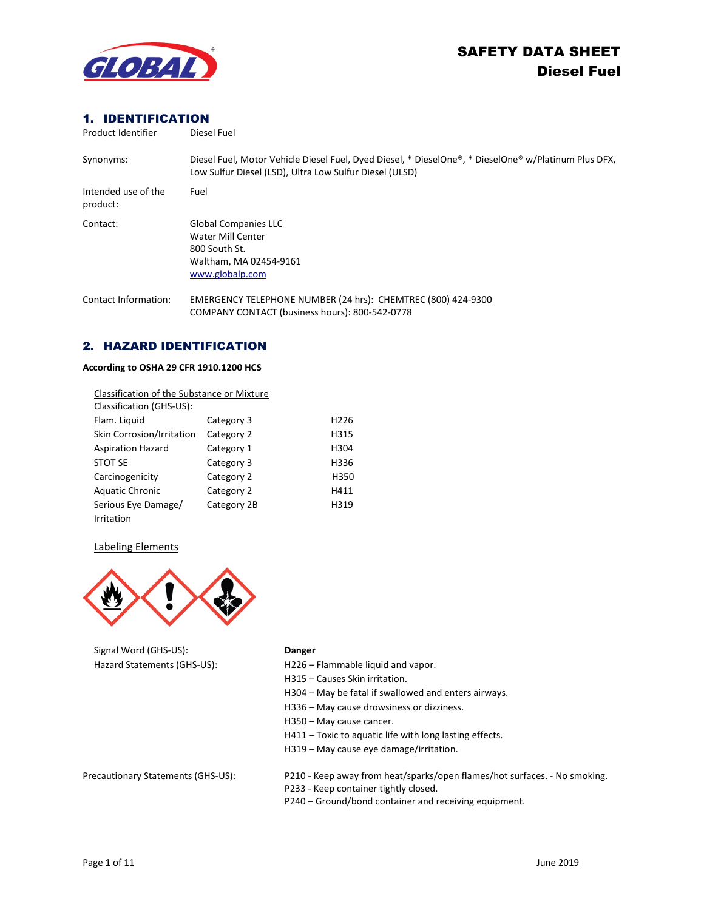

# 1. IDENTIFICATION

| Product Identifier              | Diesel Fuel                                                                                                                                                     |
|---------------------------------|-----------------------------------------------------------------------------------------------------------------------------------------------------------------|
| Synonyms:                       | Diesel Fuel, Motor Vehicle Diesel Fuel, Dyed Diesel, * DieselOne®, * DieselOne® w/Platinum Plus DFX,<br>Low Sulfur Diesel (LSD), Ultra Low Sulfur Diesel (ULSD) |
| Intended use of the<br>product: | Fuel                                                                                                                                                            |
| Contact:                        | <b>Global Companies LLC</b><br>Water Mill Center<br>800 South St.<br>Waltham, MA 02454-9161<br>www.globalp.com                                                  |
| Contact Information:            | EMERGENCY TELEPHONE NUMBER (24 hrs): CHEMTREC (800) 424-9300<br>COMPANY CONTACT (business hours): 800-542-0778                                                  |

# 2. HAZARD IDENTIFICATION

#### **According to OSHA 29 CFR 1910.1200 HCS**

| Classification of the Substance or Mixture |             |                  |
|--------------------------------------------|-------------|------------------|
| Classification (GHS-US):                   |             |                  |
| Flam. Liquid                               | Category 3  | H <sub>226</sub> |
| Skin Corrosion/Irritation                  | Category 2  | H315             |
| <b>Aspiration Hazard</b>                   | Category 1  | H304             |
| <b>STOT SE</b>                             | Category 3  | H336             |
| Carcinogenicity                            | Category 2  | H350             |
| <b>Aquatic Chronic</b>                     | Category 2  | H411             |
| Serious Eye Damage/                        | Category 2B | H319             |
| Irritation                                 |             |                  |

### Labeling Elements



Signal Word (GHS-US): **Danger**

- Hazard Statements (GHS-US): H226 Flammable liquid and vapor.
	- H315 Causes Skin irritation.
	- H304 May be fatal if swallowed and enters airways.
	- H336 May cause drowsiness or dizziness.
	- H350 May cause cancer.
	- H411 Toxic to aquatic life with long lasting effects.
	- H319 May cause eye damage/irritation.

- Precautionary Statements (GHS-US): P210 Keep away from heat/sparks/open flames/hot surfaces. No smoking.
	- P233 Keep container tightly closed.
	- P240 Ground/bond container and receiving equipment.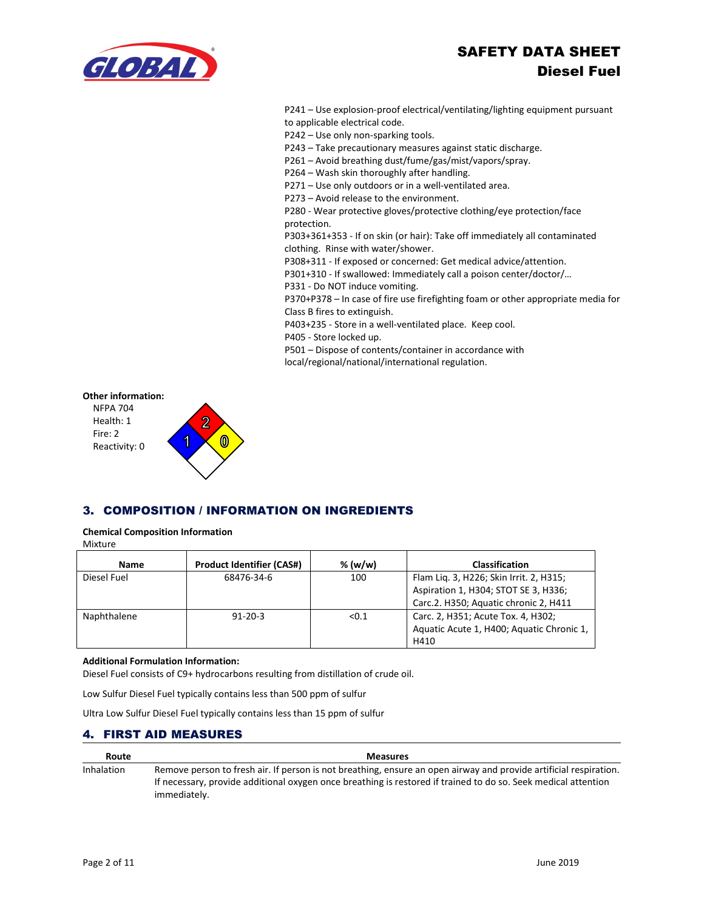

P241 – Use explosion-proof electrical/ventilating/lighting equipment pursuant to applicable electrical code.

P242 – Use only non-sparking tools.

P243 – Take precautionary measures against static discharge.

P261 – Avoid breathing dust/fume/gas/mist/vapors/spray.

P264 – Wash skin thoroughly after handling.

P271 – Use only outdoors or in a well-ventilated area.

P273 – Avoid release to the environment.

P280 - Wear protective gloves/protective clothing/eye protection/face protection.

P303+361+353 - If on skin (or hair): Take off immediately all contaminated clothing. Rinse with water/shower.

P308+311 - If exposed or concerned: Get medical advice/attention.

P301+310 - If swallowed: Immediately call a poison center/doctor/…

P331 - Do NOT induce vomiting.

P370+P378 – In case of fire use firefighting foam or other appropriate media for Class B fires to extinguish.

P403+235 - Store in a well-ventilated place. Keep cool.

P405 - Store locked up.

P501 – Dispose of contents/container in accordance with local/regional/national/international regulation.

#### **Other information:**



# 3. COMPOSITION / INFORMATION ON INGREDIENTS

# **Chemical Composition Information**

Mixture

| <b>Name</b> | <b>Product Identifier (CAS#)</b> | $%$ (w/w) | <b>Classification</b>                     |
|-------------|----------------------------------|-----------|-------------------------------------------|
| Diesel Fuel | 68476-34-6                       | 100       | Flam Lig. 3, H226; Skin Irrit. 2, H315;   |
|             |                                  |           | Aspiration 1, H304; STOT SE 3, H336;      |
|             |                                  |           | Carc.2. H350; Aquatic chronic 2, H411     |
| Naphthalene | $91 - 20 - 3$                    | < 0.1     | Carc. 2, H351; Acute Tox. 4, H302;        |
|             |                                  |           | Aquatic Acute 1, H400; Aquatic Chronic 1, |
|             |                                  |           | H410                                      |

#### **Additional Formulation Information:**

Diesel Fuel consists of C9+ hydrocarbons resulting from distillation of crude oil.

Low Sulfur Diesel Fuel typically contains less than 500 ppm of sulfur

Ultra Low Sulfur Diesel Fuel typically contains less than 15 ppm of sulfur

### 4. FIRST AID MEASURES

| Route      | <b>Measures</b>                                                                                                   |
|------------|-------------------------------------------------------------------------------------------------------------------|
| Inhalation | Remove person to fresh air. If person is not breathing, ensure an open airway and provide artificial respiration. |
|            | If necessary, provide additional oxygen once breathing is restored if trained to do so. Seek medical attention    |
|            | immediately.                                                                                                      |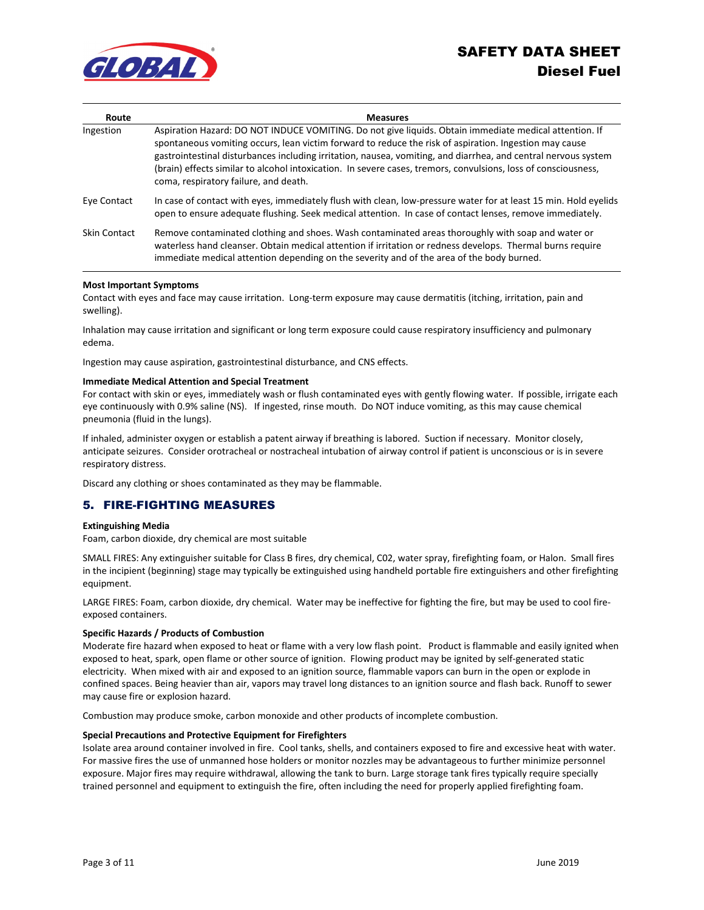

| Route        | <b>Measures</b>                                                                                                                                                                                                                                                                                                                                                                                                                                                                               |
|--------------|-----------------------------------------------------------------------------------------------------------------------------------------------------------------------------------------------------------------------------------------------------------------------------------------------------------------------------------------------------------------------------------------------------------------------------------------------------------------------------------------------|
| Ingestion    | Aspiration Hazard: DO NOT INDUCE VOMITING. Do not give liquids. Obtain immediate medical attention. If<br>spontaneous vomiting occurs, lean victim forward to reduce the risk of aspiration. Ingestion may cause<br>gastrointestinal disturbances including irritation, nausea, vomiting, and diarrhea, and central nervous system<br>(brain) effects similar to alcohol intoxication. In severe cases, tremors, convulsions, loss of consciousness,<br>coma, respiratory failure, and death. |
| Eye Contact  | In case of contact with eyes, immediately flush with clean, low-pressure water for at least 15 min. Hold eyelids<br>open to ensure adequate flushing. Seek medical attention. In case of contact lenses, remove immediately.                                                                                                                                                                                                                                                                  |
| Skin Contact | Remove contaminated clothing and shoes. Wash contaminated areas thoroughly with soap and water or<br>waterless hand cleanser. Obtain medical attention if irritation or redness develops. Thermal burns require<br>immediate medical attention depending on the severity and of the area of the body burned.                                                                                                                                                                                  |

#### **Most Important Symptoms**

Contact with eyes and face may cause irritation. Long-term exposure may cause dermatitis (itching, irritation, pain and swelling).

Inhalation may cause irritation and significant or long term exposure could cause respiratory insufficiency and pulmonary edema.

Ingestion may cause aspiration, gastrointestinal disturbance, and CNS effects.

#### **Immediate Medical Attention and Special Treatment**

For contact with skin or eyes, immediately wash or flush contaminated eyes with gently flowing water. If possible, irrigate each eye continuously with 0.9% saline (NS). If ingested, rinse mouth. Do NOT induce vomiting, as this may cause chemical pneumonia (fluid in the lungs).

If inhaled, administer oxygen or establish a patent airway if breathing is labored. Suction if necessary. Monitor closely, anticipate seizures. Consider orotracheal or nostracheal intubation of airway control if patient is unconscious or is in severe respiratory distress.

Discard any clothing or shoes contaminated as they may be flammable.

# 5. FIRE-FIGHTING MEASURES

#### **Extinguishing Media**

Foam, carbon dioxide, dry chemical are most suitable

SMALL FIRES: Any extinguisher suitable for Class B fires, dry chemical, C02, water spray, firefighting foam, or Halon. Small fires in the incipient (beginning) stage may typically be extinguished using handheld portable fire extinguishers and other firefighting equipment.

LARGE FIRES: Foam, carbon dioxide, dry chemical. Water may be ineffective for fighting the fire, but may be used to cool fireexposed containers.

#### **Specific Hazards / Products of Combustion**

Moderate fire hazard when exposed to heat or flame with a very low flash point. Product is flammable and easily ignited when exposed to heat, spark, open flame or other source of ignition. Flowing product may be ignited by self-generated static electricity. When mixed with air and exposed to an ignition source, flammable vapors can burn in the open or explode in confined spaces. Being heavier than air, vapors may travel long distances to an ignition source and flash back. Runoff to sewer may cause fire or explosion hazard.

Combustion may produce smoke, carbon monoxide and other products of incomplete combustion.

#### **Special Precautions and Protective Equipment for Firefighters**

Isolate area around container involved in fire. Cool tanks, shells, and containers exposed to fire and excessive heat with water. For massive fires the use of unmanned hose holders or monitor nozzles may be advantageous to further minimize personnel exposure. Major fires may require withdrawal, allowing the tank to burn. Large storage tank fires typically require specially trained personnel and equipment to extinguish the fire, often including the need for properly applied firefighting foam.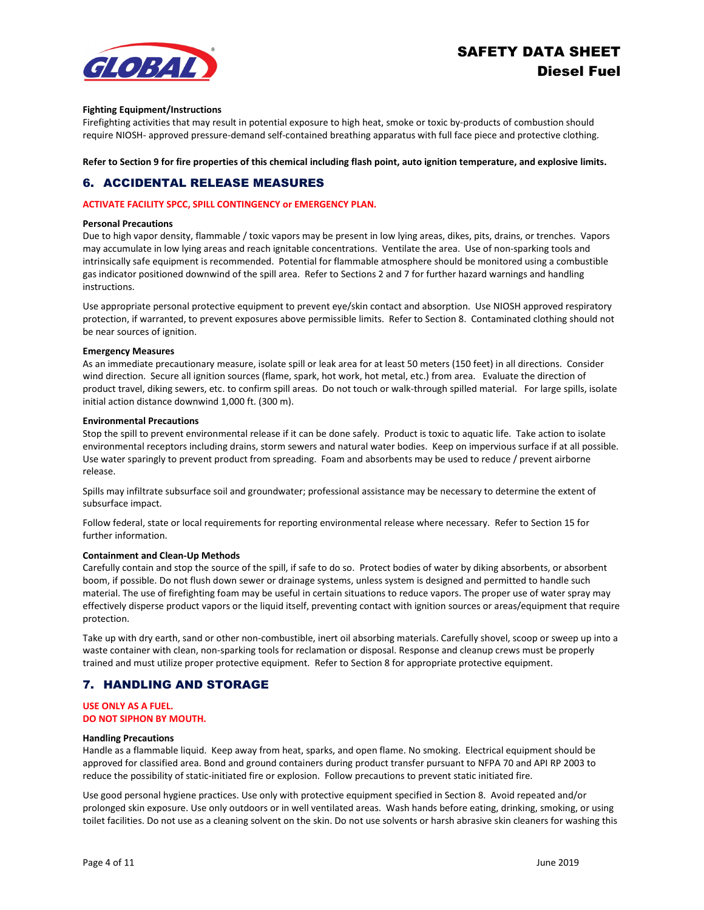

#### **Fighting Equipment/Instructions**

Firefighting activities that may result in potential exposure to high heat, smoke or toxic by-products of combustion should require NIOSH- approved pressure-demand self-contained breathing apparatus with full face piece and protective clothing.

**Refer to Section 9 for fire properties of this chemical including flash point, auto ignition temperature, and explosive limits.**

# 6. ACCIDENTAL RELEASE MEASURES

#### **ACTIVATE FACILITY SPCC, SPILL CONTINGENCY or EMERGENCY PLAN.**

#### **Personal Precautions**

Due to high vapor density, flammable / toxic vapors may be present in low lying areas, dikes, pits, drains, or trenches. Vapors may accumulate in low lying areas and reach ignitable concentrations. Ventilate the area. Use of non-sparking tools and intrinsically safe equipment is recommended. Potential for flammable atmosphere should be monitored using a combustible gas indicator positioned downwind of the spill area. Refer to Sections 2 and 7 for further hazard warnings and handling instructions.

Use appropriate personal protective equipment to prevent eye/skin contact and absorption. Use NIOSH approved respiratory protection, if warranted, to prevent exposures above permissible limits. Refer to Section 8. Contaminated clothing should not be near sources of ignition.

#### **Emergency Measures**

As an immediate precautionary measure, isolate spill or leak area for at least 50 meters (150 feet) in all directions. Consider wind direction. Secure all ignition sources (flame, spark, hot work, hot metal, etc.) from area. Evaluate the direction of product travel, diking sewers, etc. to confirm spill areas. Do not touch or walk-through spilled material. For large spills, isolate initial action distance downwind 1,000 ft. (300 m).

#### **Environmental Precautions**

Stop the spill to prevent environmental release if it can be done safely. Product is toxic to aquatic life. Take action to isolate environmental receptors including drains, storm sewers and natural water bodies. Keep on impervious surface if at all possible. Use water sparingly to prevent product from spreading. Foam and absorbents may be used to reduce / prevent airborne release.

Spills may infiltrate subsurface soil and groundwater; professional assistance may be necessary to determine the extent of subsurface impact.

Follow federal, state or local requirements for reporting environmental release where necessary. Refer to Section 15 for further information.

#### **Containment and Clean-Up Methods**

Carefully contain and stop the source of the spill, if safe to do so. Protect bodies of water by diking absorbents, or absorbent boom, if possible. Do not flush down sewer or drainage systems, unless system is designed and permitted to handle such material. The use of firefighting foam may be useful in certain situations to reduce vapors. The proper use of water spray may effectively disperse product vapors or the liquid itself, preventing contact with ignition sources or areas/equipment that require protection.

Take up with dry earth, sand or other non-combustible, inert oil absorbing materials. Carefully shovel, scoop or sweep up into a waste container with clean, non-sparking tools for reclamation or disposal. Response and cleanup crews must be properly trained and must utilize proper protective equipment. Refer to Section 8 for appropriate protective equipment.

# 7. HANDLING AND STORAGE

### **USE ONLY AS A FUEL. DO NOT SIPHON BY MOUTH.**

#### **Handling Precautions**

Handle as a flammable liquid. Keep away from heat, sparks, and open flame. No smoking. Electrical equipment should be approved for classified area. Bond and ground containers during product transfer pursuant to NFPA 70 and API RP 2003 to reduce the possibility of static-initiated fire or explosion. Follow precautions to prevent static initiated fire.

Use good personal hygiene practices. Use only with protective equipment specified in Section 8. Avoid repeated and/or prolonged skin exposure. Use only outdoors or in well ventilated areas. Wash hands before eating, drinking, smoking, or using toilet facilities. Do not use as a cleaning solvent on the skin. Do not use solvents or harsh abrasive skin cleaners for washing this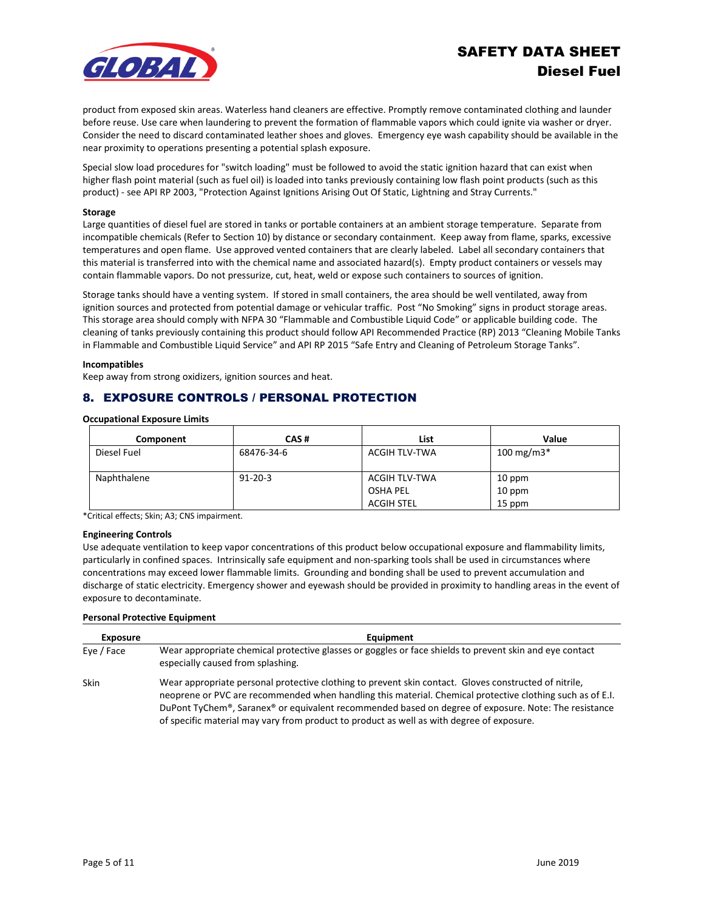

product from exposed skin areas. Waterless hand cleaners are effective. Promptly remove contaminated clothing and launder before reuse. Use care when laundering to prevent the formation of flammable vapors which could ignite via washer or dryer. Consider the need to discard contaminated leather shoes and gloves. Emergency eye wash capability should be available in the near proximity to operations presenting a potential splash exposure.

Special slow load procedures for "switch loading" must be followed to avoid the static ignition hazard that can exist when higher flash point material (such as fuel oil) is loaded into tanks previously containing low flash point products (such as this product) - see API RP 2003, "Protection Against Ignitions Arising Out Of Static, Lightning and Stray Currents."

#### **Storage**

Large quantities of diesel fuel are stored in tanks or portable containers at an ambient storage temperature. Separate from incompatible chemicals (Refer to Section 10) by distance or secondary containment. Keep away from flame, sparks, excessive temperatures and open flame. Use approved vented containers that are clearly labeled. Label all secondary containers that this material is transferred into with the chemical name and associated hazard(s). Empty product containers or vessels may contain flammable vapors. Do not pressurize, cut, heat, weld or expose such containers to sources of ignition.

Storage tanks should have a venting system. If stored in small containers, the area should be well ventilated, away from ignition sources and protected from potential damage or vehicular traffic. Post "No Smoking" signs in product storage areas. This storage area should comply with NFPA 30 "Flammable and Combustible Liquid Code" or applicable building code. The cleaning of tanks previously containing this product should follow API Recommended Practice (RP) 2013 "Cleaning Mobile Tanks in Flammable and Combustible Liquid Service" and API RP 2015 "Safe Entry and Cleaning of Petroleum Storage Tanks".

#### **Incompatibles**

Keep away from strong oxidizers, ignition sources and heat.

# 8. EXPOSURE CONTROLS / PERSONAL PROTECTION

**Occupational Exposure Limits**

| Component   | CAS#          | List                 | Value         |
|-------------|---------------|----------------------|---------------|
| Diesel Fuel | 68476-34-6    | ACGIH TLV-TWA        | 100 mg/m $3*$ |
| Naphthalene | $91 - 20 - 3$ | <b>ACGIH TLV-TWA</b> | 10 ppm        |
|             |               | OSHA PEL             | 10 ppm        |
|             |               | <b>ACGIH STEL</b>    | 15 ppm        |

\*Critical effects; Skin; A3; CNS impairment.

#### **Engineering Controls**

Use adequate ventilation to keep vapor concentrations of this product below occupational exposure and flammability limits, particularly in confined spaces. Intrinsically safe equipment and non-sparking tools shall be used in circumstances where concentrations may exceed lower flammable limits. Grounding and bonding shall be used to prevent accumulation and discharge of static electricity. Emergency shower and eyewash should be provided in proximity to handling areas in the event of exposure to decontaminate.

#### **Personal Protective Equipment**

| <b>Exposure</b> | Equipment                                                                                                                                                                                                                                                                                                                                                                                                               |
|-----------------|-------------------------------------------------------------------------------------------------------------------------------------------------------------------------------------------------------------------------------------------------------------------------------------------------------------------------------------------------------------------------------------------------------------------------|
| Eye / Face      | Wear appropriate chemical protective glasses or goggles or face shields to prevent skin and eye contact<br>especially caused from splashing.                                                                                                                                                                                                                                                                            |
| Skin            | Wear appropriate personal protective clothing to prevent skin contact. Gloves constructed of nitrile,<br>neoprene or PVC are recommended when handling this material. Chemical protective clothing such as of E.I.<br>DuPont TyChem®, Saranex® or equivalent recommended based on degree of exposure. Note: The resistance<br>of specific material may vary from product to product as well as with degree of exposure. |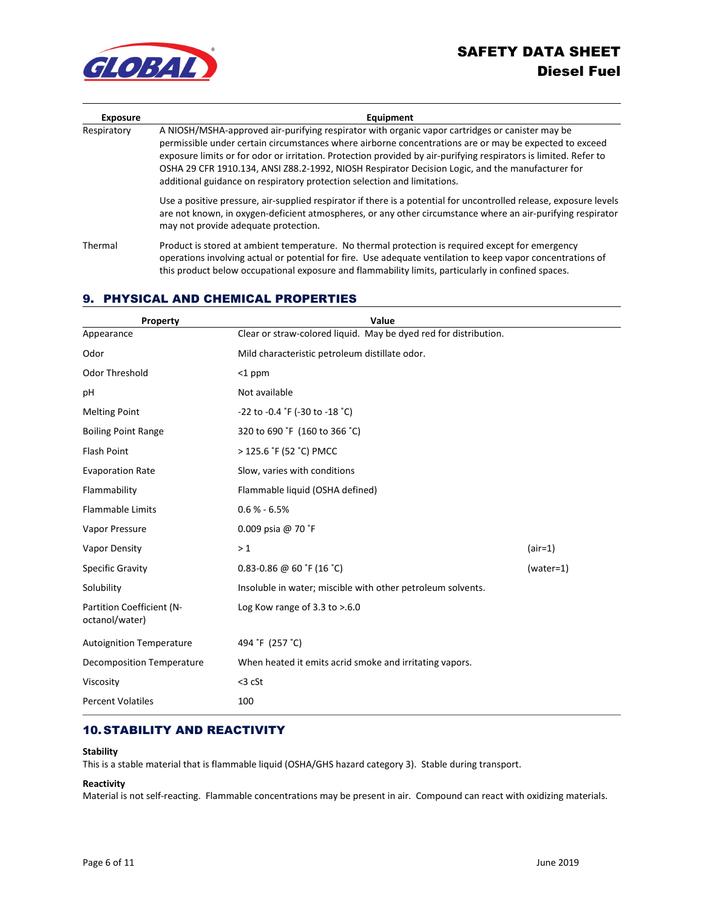



| <b>Exposure</b> | Equipment                                                                                                                                                                                                                                                                                                                                                                                                                                                                                                     |  |  |
|-----------------|---------------------------------------------------------------------------------------------------------------------------------------------------------------------------------------------------------------------------------------------------------------------------------------------------------------------------------------------------------------------------------------------------------------------------------------------------------------------------------------------------------------|--|--|
| Respiratory     | A NIOSH/MSHA-approved air-purifying respirator with organic vapor cartridges or canister may be<br>permissible under certain circumstances where airborne concentrations are or may be expected to exceed<br>exposure limits or for odor or irritation. Protection provided by air-purifying respirators is limited. Refer to<br>OSHA 29 CFR 1910.134, ANSI Z88.2-1992, NIOSH Respirator Decision Logic, and the manufacturer for<br>additional guidance on respiratory protection selection and limitations. |  |  |
|                 | Use a positive pressure, air-supplied respirator if there is a potential for uncontrolled release, exposure levels<br>are not known, in oxygen-deficient atmospheres, or any other circumstance where an air-purifying respirator<br>may not provide adequate protection.                                                                                                                                                                                                                                     |  |  |
| Thermal         | Product is stored at ambient temperature. No thermal protection is required except for emergency<br>operations involving actual or potential for fire. Use adequate ventilation to keep vapor concentrations of<br>this product below occupational exposure and flammability limits, particularly in confined spaces.                                                                                                                                                                                         |  |  |

# 9. PHYSICAL AND CHEMICAL PROPERTIES

| Property                                    | Value                                                            |             |  |
|---------------------------------------------|------------------------------------------------------------------|-------------|--|
| Appearance                                  | Clear or straw-colored liquid. May be dyed red for distribution. |             |  |
| Odor                                        | Mild characteristic petroleum distillate odor.                   |             |  |
| Odor Threshold                              | $<$ 1 ppm                                                        |             |  |
| pH                                          | Not available                                                    |             |  |
| <b>Melting Point</b>                        | -22 to -0.4 °F (-30 to -18 °C)                                   |             |  |
| <b>Boiling Point Range</b>                  | 320 to 690 °F (160 to 366 °C)                                    |             |  |
| <b>Flash Point</b>                          | > 125.6 °F (52 °C) PMCC                                          |             |  |
| <b>Evaporation Rate</b>                     | Slow, varies with conditions                                     |             |  |
| Flammability                                | Flammable liquid (OSHA defined)                                  |             |  |
| <b>Flammable Limits</b>                     | $0.6 % - 6.5%$                                                   |             |  |
| Vapor Pressure                              | 0.009 psia @ 70 °F                                               |             |  |
| Vapor Density                               | >1                                                               | $(air=1)$   |  |
| <b>Specific Gravity</b>                     | $0.83 - 0.86$ @ 60 °F (16 °C)                                    | $(water=1)$ |  |
| Solubility                                  | Insoluble in water; miscible with other petroleum solvents.      |             |  |
| Partition Coefficient (N-<br>octanol/water) | Log Kow range of $3.3$ to $> 6.0$                                |             |  |
| <b>Autoignition Temperature</b>             | 494 °F (257 °C)                                                  |             |  |
| <b>Decomposition Temperature</b>            | When heated it emits acrid smoke and irritating vapors.          |             |  |
| Viscosity                                   | $<$ 3 cSt                                                        |             |  |
| <b>Percent Volatiles</b>                    | 100                                                              |             |  |

# 10. STABILITY AND REACTIVITY

#### **Stability**

This is a stable material that is flammable liquid (OSHA/GHS hazard category 3). Stable during transport.

### **Reactivity**

Material is not self-reacting. Flammable concentrations may be present in air. Compound can react with oxidizing materials.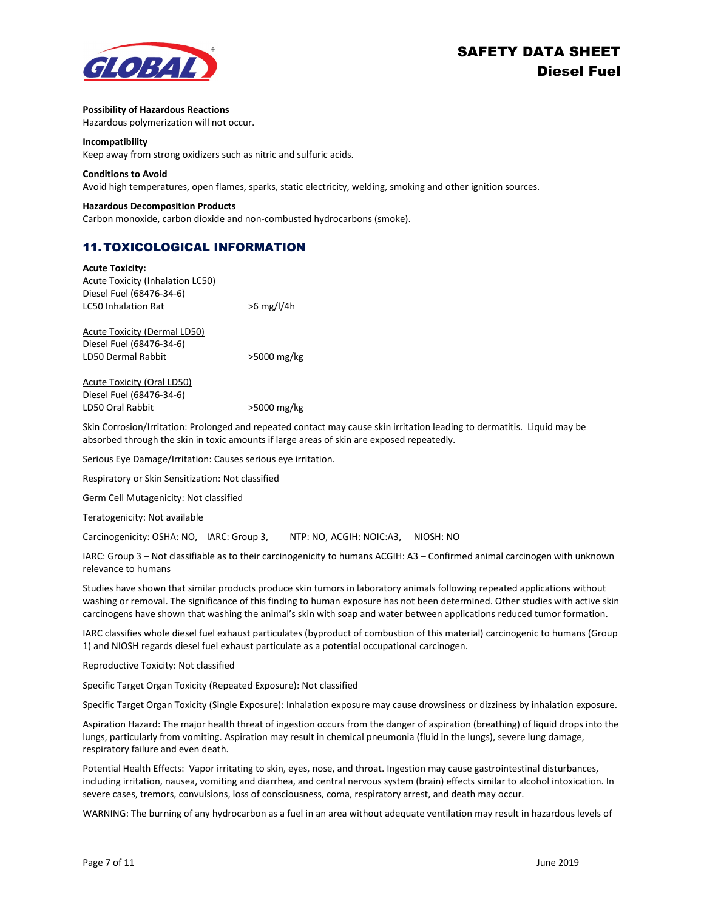

#### **Possibility of Hazardous Reactions**

Hazardous polymerization will not occur.

#### **Incompatibility**

Keep away from strong oxidizers such as nitric and sulfuric acids.

#### **Conditions to Avoid**

Avoid high temperatures, open flames, sparks, static electricity, welding, smoking and other ignition sources.

#### **Hazardous Decomposition Products**

Carbon monoxide, carbon dioxide and non-combusted hydrocarbons (smoke).

# 11. TOXICOLOGICAL INFORMATION

| <b>Acute Toxicity:</b>                  |              |
|-----------------------------------------|--------------|
| <b>Acute Toxicity (Inhalation LC50)</b> |              |
| Diesel Fuel (68476-34-6)                |              |
| <b>LC50 Inhalation Rat</b>              | $>6$ mg/l/4h |
| <b>Acute Toxicity (Dermal LD50)</b>     |              |
| Diesel Fuel (68476-34-6)                |              |
| LD50 Dermal Rabbit                      | >5000 mg/kg  |
|                                         |              |

Acute Toxicity (Oral LD50) Diesel Fuel (68476-34-6) LD50 Oral Rabbit >5000 mg/kg

Skin Corrosion/Irritation: Prolonged and repeated contact may cause skin irritation leading to dermatitis. Liquid may be absorbed through the skin in toxic amounts if large areas of skin are exposed repeatedly.

Serious Eye Damage/Irritation: Causes serious eye irritation.

Respiratory or Skin Sensitization: Not classified

Germ Cell Mutagenicity: Not classified

Teratogenicity: Not available

Carcinogenicity: OSHA: NO, IARC: Group 3, NTP: NO, ACGIH: NOIC:A3, NIOSH: NO

IARC: Group 3 – Not classifiable as to their carcinogenicity to humans ACGIH: A3 – Confirmed animal carcinogen with unknown relevance to humans

Studies have shown that similar products produce skin tumors in laboratory animals following repeated applications without washing or removal. The significance of this finding to human exposure has not been determined. Other studies with active skin carcinogens have shown that washing the animal's skin with soap and water between applications reduced tumor formation.

IARC classifies whole diesel fuel exhaust particulates (byproduct of combustion of this material) carcinogenic to humans (Group 1) and NIOSH regards diesel fuel exhaust particulate as a potential occupational carcinogen.

Reproductive Toxicity: Not classified

Specific Target Organ Toxicity (Repeated Exposure): Not classified

Specific Target Organ Toxicity (Single Exposure): Inhalation exposure may cause drowsiness or dizziness by inhalation exposure.

Aspiration Hazard: The major health threat of ingestion occurs from the danger of aspiration (breathing) of liquid drops into the lungs, particularly from vomiting. Aspiration may result in chemical pneumonia (fluid in the lungs), severe lung damage, respiratory failure and even death.

Potential Health Effects: Vapor irritating to skin, eyes, nose, and throat. Ingestion may cause gastrointestinal disturbances, including irritation, nausea, vomiting and diarrhea, and central nervous system (brain) effects similar to alcohol intoxication. In severe cases, tremors, convulsions, loss of consciousness, coma, respiratory arrest, and death may occur.

WARNING: The burning of any hydrocarbon as a fuel in an area without adequate ventilation may result in hazardous levels of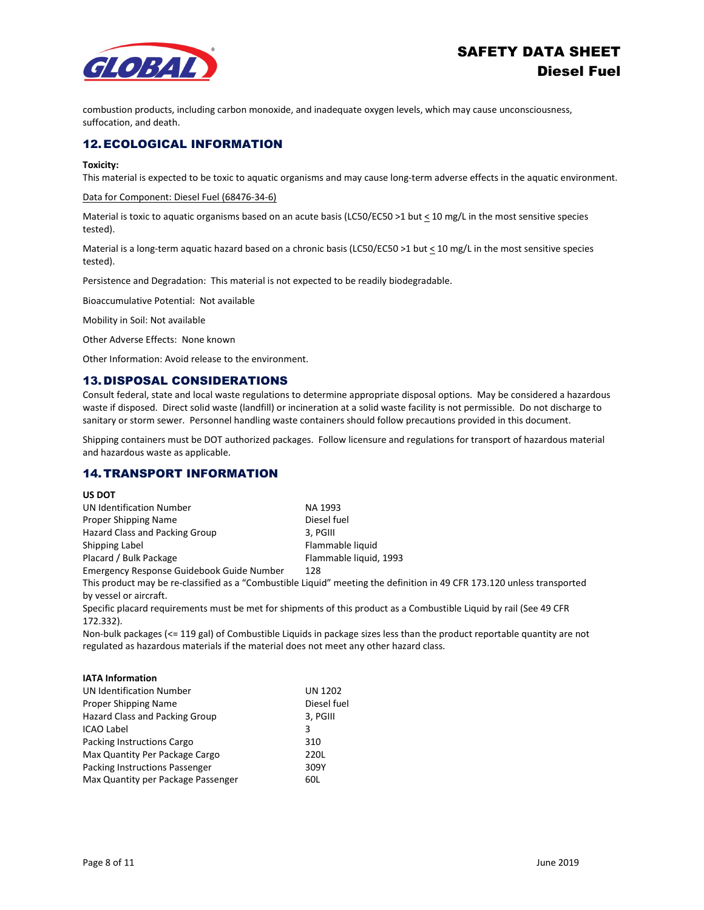

combustion products, including carbon monoxide, and inadequate oxygen levels, which may cause unconsciousness, suffocation, and death.

# 12. ECOLOGICAL INFORMATION

#### **Toxicity:**

This material is expected to be toxic to aquatic organisms and may cause long-term adverse effects in the aquatic environment.

#### Data for Component: Diesel Fuel (68476-34-6)

Material is toxic to aquatic organisms based on an acute basis (LC50/EC50 >1 but  $\leq$  10 mg/L in the most sensitive species tested).

Material is a long-term aquatic hazard based on a chronic basis (LC50/EC50 >1 but < 10 mg/L in the most sensitive species tested).

Persistence and Degradation: This material is not expected to be readily biodegradable.

Bioaccumulative Potential: Not available

Mobility in Soil: Not available

Other Adverse Effects: None known

Other Information: Avoid release to the environment.

# 13.DISPOSAL CONSIDERATIONS

Consult federal, state and local waste regulations to determine appropriate disposal options. May be considered a hazardous waste if disposed. Direct solid waste (landfill) or incineration at a solid waste facility is not permissible. Do not discharge to sanitary or storm sewer. Personnel handling waste containers should follow precautions provided in this document.

Shipping containers must be DOT authorized packages. Follow licensure and regulations for transport of hazardous material and hazardous waste as applicable.

# 14. TRANSPORT INFORMATION

#### **US DOT**

| UN Identification Number                  | NA 1993                                                                                                                 |
|-------------------------------------------|-------------------------------------------------------------------------------------------------------------------------|
| Proper Shipping Name                      | Diesel fuel                                                                                                             |
| <b>Hazard Class and Packing Group</b>     | 3. PGIII                                                                                                                |
| Shipping Label                            | Flammable liquid                                                                                                        |
| Placard / Bulk Package                    | Flammable liquid, 1993                                                                                                  |
| Emergency Response Guidebook Guide Number | 128                                                                                                                     |
|                                           | This product may be re-classified as a "Combustible Liguid" meeting the definition in 49 CFR 173.120 unless transported |

by vessel or aircraft.

Specific placard requirements must be met for shipments of this product as a Combustible Liquid by rail (See 49 CFR 172.332).

Non-bulk packages (<= 119 gal) of Combustible Liquids in package sizes less than the product reportable quantity are not regulated as hazardous materials if the material does not meet any other hazard class.

#### **IATA Information**

| <b>UN Identification Number</b>    | <b>UN 1202</b> |
|------------------------------------|----------------|
| Proper Shipping Name               | Diesel fuel    |
| Hazard Class and Packing Group     | 3, PGIII       |
| <b>ICAO Label</b>                  | 3              |
| Packing Instructions Cargo         | 310            |
| Max Quantity Per Package Cargo     | 220L           |
| Packing Instructions Passenger     | 309Y           |
| Max Quantity per Package Passenger | 60L            |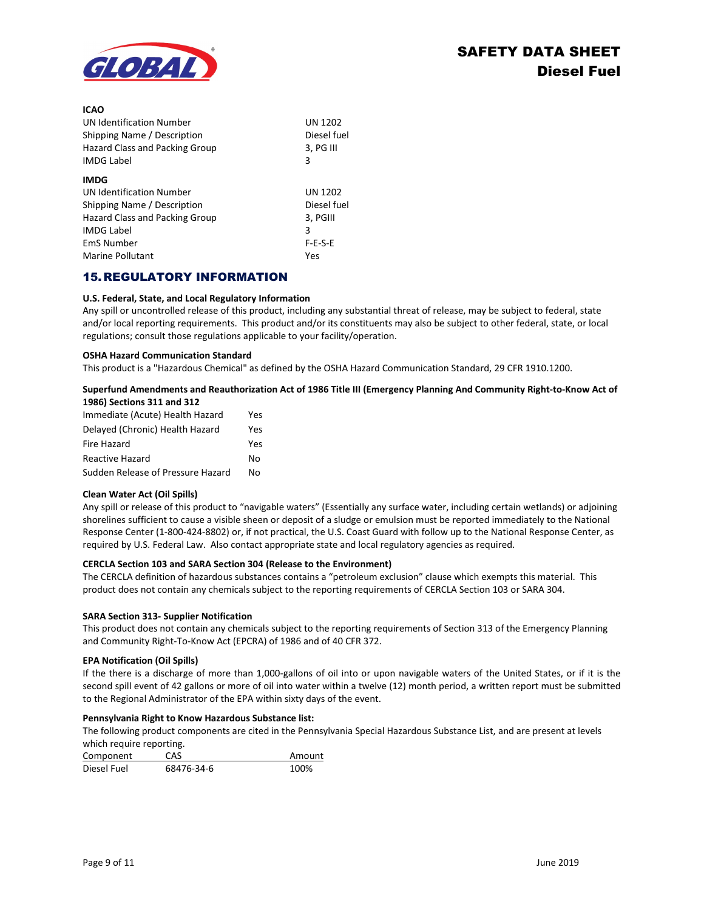

**ICAO**

| ILAU                            |                |
|---------------------------------|----------------|
| <b>UN Identification Number</b> | UN 1202        |
| Shipping Name / Description     | Diesel fuel    |
| Hazard Class and Packing Group  | 3, PG III      |
| <b>IMDG Label</b>               | 3              |
| <b>IMDG</b>                     |                |
| <b>UN Identification Number</b> | <b>UN 1202</b> |
| Shipping Name / Description     | Diesel fuel    |
| Hazard Class and Packing Group  | 3, PGIII       |
| <b>IMDG Label</b>               | 3              |
| <b>EmS Number</b>               | $F-E-S-E$      |
| Marine Pollutant                | Yes            |

# 15.REGULATORY INFORMATION

#### **U.S. Federal, State, and Local Regulatory Information**

Any spill or uncontrolled release of this product, including any substantial threat of release, may be subject to federal, state and/or local reporting requirements. This product and/or its constituents may also be subject to other federal, state, or local regulations; consult those regulations applicable to your facility/operation.

#### **OSHA Hazard Communication Standard**

This product is a "Hazardous Chemical" as defined by the OSHA Hazard Communication Standard, 29 CFR 1910.1200.

#### **Superfund Amendments and Reauthorization Act of 1986 Title III (Emergency Planning And Community Right-to-Know Act of 1986) Sections 311 and 312**

| Immediate (Acute) Health Hazard   | Yes |
|-----------------------------------|-----|
| Delayed (Chronic) Health Hazard   | Yes |
| Fire Hazard                       | Yes |
| <b>Reactive Hazard</b>            | N٥  |
| Sudden Release of Pressure Hazard | N٥  |

#### **Clean Water Act (Oil Spills)**

Any spill or release of this product to "navigable waters" (Essentially any surface water, including certain wetlands) or adjoining shorelines sufficient to cause a visible sheen or deposit of a sludge or emulsion must be reported immediately to the National Response Center (1-800-424-8802) or, if not practical, the U.S. Coast Guard with follow up to the National Response Center, as required by U.S. Federal Law. Also contact appropriate state and local regulatory agencies as required.

#### **CERCLA Section 103 and SARA Section 304 (Release to the Environment)**

The CERCLA definition of hazardous substances contains a "petroleum exclusion" clause which exempts this material. This product does not contain any chemicals subject to the reporting requirements of CERCLA Section 103 or SARA 304.

#### **SARA Section 313- Supplier Notification**

This product does not contain any chemicals subject to the reporting requirements of Section 313 of the Emergency Planning and Community Right-To-Know Act (EPCRA) of 1986 and of 40 CFR 372.

#### **EPA Notification (Oil Spills)**

If the there is a discharge of more than 1,000-gallons of oil into or upon navigable waters of the United States, or if it is the second spill event of 42 gallons or more of oil into water within a twelve (12) month period, a written report must be submitted to the Regional Administrator of the EPA within sixty days of the event.

#### **Pennsylvania Right to Know Hazardous Substance list:**

The following product components are cited in the Pennsylvania Special Hazardous Substance List, and are present at levels which require reporting.

| Component   | CAS        | Amount |
|-------------|------------|--------|
| Diesel Fuel | 68476-34-6 | 100%   |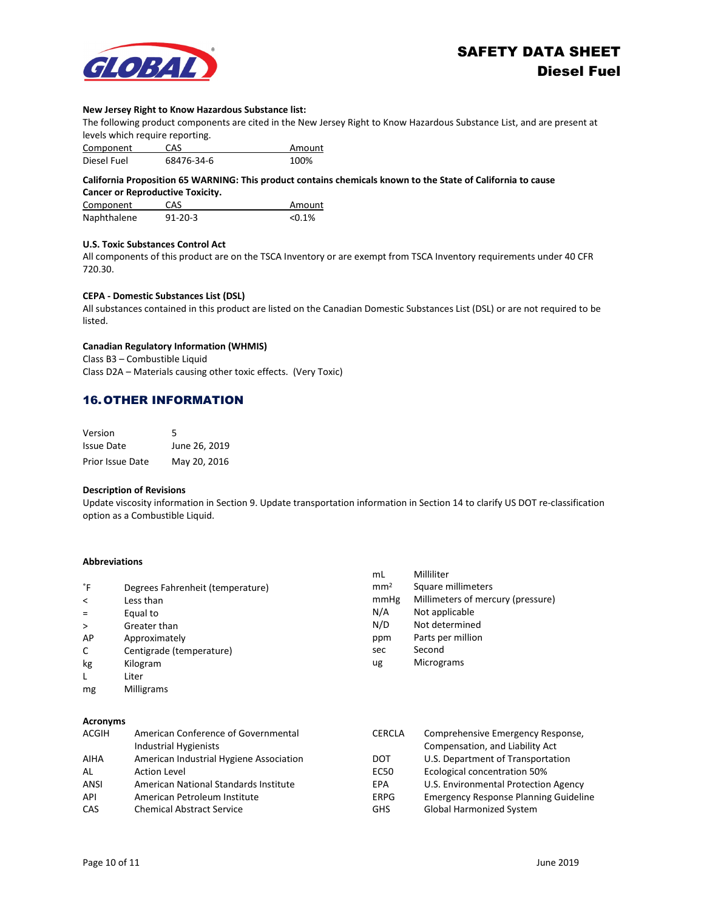

#### **New Jersey Right to Know Hazardous Substance list:**

The following product components are cited in the New Jersey Right to Know Hazardous Substance List, and are present at levels which require reporting.

| Component   | CAS        | Amount |
|-------------|------------|--------|
| Diesel Fuel | 68476-34-6 | 100%   |

**California Proposition 65 WARNING: This product contains chemicals known to the State of California to cause Cancer or Reproductive Toxicity.**

| Component   | CAS           | Amount    |
|-------------|---------------|-----------|
| Naphthalene | $91 - 20 - 3$ | $< 0.1\%$ |

#### **U.S. Toxic Substances Control Act**

All components of this product are on the TSCA Inventory or are exempt from TSCA Inventory requirements under 40 CFR 720.30.

#### **CEPA - Domestic Substances List (DSL)**

All substances contained in this product are listed on the Canadian Domestic Substances List (DSL) or are not required to be listed.

### **Canadian Regulatory Information (WHMIS)**

Class B3 – Combustible Liquid Class D2A – Materials causing other toxic effects. (Very Toxic)

# 16. OTHER INFORMATION

| Version                 | 5             |
|-------------------------|---------------|
| Issue Date              | June 26, 2019 |
| <b>Prior Issue Date</b> | May 20, 2016  |

#### **Description of Revisions**

Update viscosity information in Section 9. Update transportation information in Section 14 to clarify US DOT re-classification option as a Combustible Liquid.

### **Abbreviations**

|                                                                                                                                                                                                                                      |                                  | mL              | Milliliter                        |
|--------------------------------------------------------------------------------------------------------------------------------------------------------------------------------------------------------------------------------------|----------------------------------|-----------------|-----------------------------------|
| °F                                                                                                                                                                                                                                   | Degrees Fahrenheit (temperature) | mm <sup>2</sup> | Square millimeters                |
| $\prec$                                                                                                                                                                                                                              | Less than                        | mmHg            | Millimeters of mercury (pressure) |
| $\equiv$                                                                                                                                                                                                                             | Equal to                         | N/A             | Not applicable                    |
| $\geq$                                                                                                                                                                                                                               | Greater than                     | N/D             | Not determined                    |
| AP                                                                                                                                                                                                                                   | Approximately                    | ppm             | Parts per million                 |
| C                                                                                                                                                                                                                                    | Centigrade (temperature)         | sec             | Second                            |
| kg                                                                                                                                                                                                                                   | Kilogram                         | ug              | <b>Micrograms</b>                 |
| L                                                                                                                                                                                                                                    | Liter                            |                 |                                   |
| mg                                                                                                                                                                                                                                   | <b>Milligrams</b>                |                 |                                   |
|                                                                                                                                                                                                                                      |                                  |                 |                                   |
| $\blacksquare$ . The contract of the contract of the contract of the contract of the contract of the contract of the contract of the contract of the contract of the contract of the contract of the contract of the contract of the |                                  |                 |                                   |

| American Conference of Governmental     | <b>CERCLA</b> | Comprehensive Emergency Response,            |
|-----------------------------------------|---------------|----------------------------------------------|
| Industrial Hygienists                   |               | Compensation, and Liability Act              |
| American Industrial Hygiene Association | <b>DOT</b>    | U.S. Department of Transportation            |
| <b>Action Level</b>                     | EC50          | <b>Ecological concentration 50%</b>          |
| American National Standards Institute   | EPA           | U.S. Environmental Protection Agency         |
| American Petroleum Institute            | <b>ERPG</b>   | <b>Emergency Response Planning Guideline</b> |
| <b>Chemical Abstract Service</b>        | <b>GHS</b>    | <b>Global Harmonized System</b>              |
|                                         |               |                                              |